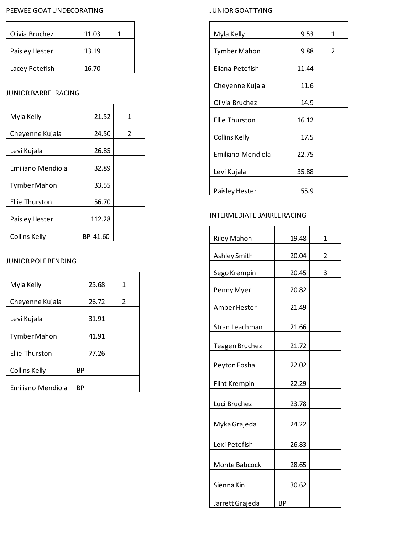### PEEWEE GOAT UNDECORATING

| Olivia Bruchez | 11.03 |  |
|----------------|-------|--|
| Paisley Hester | 13.19 |  |
| Lacey Petefish | 16.70 |  |

# JUNIOR BARREL RACING

| Myla Kelly           | 21.52    | 1             |
|----------------------|----------|---------------|
| Cheyenne Kujala      | 24.50    | $\mathcal{P}$ |
| Levi Kujala          | 26.85    |               |
| Emiliano Mendiola    | 32.89    |               |
| <b>Tymber Mahon</b>  | 33.55    |               |
| Ellie Thurston       | 56.70    |               |
| Paisley Hester       | 112.28   |               |
| <b>Collins Kelly</b> | BP-41.60 |               |

# JUNIOR POLE BENDING

| Myla Kelly            | 25.68 | 1 |
|-----------------------|-------|---|
| Cheyenne Kujala       | 26.72 | 2 |
| Levi Kujala           | 31.91 |   |
| Tymber Mahon          | 41.91 |   |
| <b>Ellie Thurston</b> | 77.26 |   |
| Collins Kelly         | ВP    |   |
| Emiliano Mendiola     | ВP    |   |

# JUNIOR GOAT TYING

| Myla Kelly           | 9.53  | 1 |
|----------------------|-------|---|
| Tymber Mahon         | 9.88  | 2 |
| Eliana Petefish      | 11.44 |   |
| Cheyenne Kujala      | 11.6  |   |
| Olivia Bruchez       | 14.9  |   |
| Ellie Thurston       | 16.12 |   |
| <b>Collins Kelly</b> | 17.5  |   |
| Emiliano Mendiola    | 22.75 |   |
| Levi Kujala          | 35.88 |   |
| Paisley Hester       | 55.9  |   |

# INTERMEDIATE BARREL RACING

|                       | 19.48 | 1 |
|-----------------------|-------|---|
| <b>Riley Mahon</b>    |       |   |
| Ashley Smith          | 20.04 | 2 |
| Sego Krempin          | 20.45 | 3 |
| Penny Myer            | 20.82 |   |
| Amber Hester          | 21.49 |   |
| Stran Leachman        | 21.66 |   |
| <b>Teagen Bruchez</b> | 21.72 |   |
| Peyton Fosha          | 22.02 |   |
| <b>Flint Krempin</b>  | 22.29 |   |
| Luci Bruchez          | 23.78 |   |
| Myka Grajeda          | 24.22 |   |
| Lexi Petefish         | 26.83 |   |
| Monte Babcock         | 28.65 |   |
| Sienna Kin            | 30.62 |   |
| Jarrett Grajeda       | ВP    |   |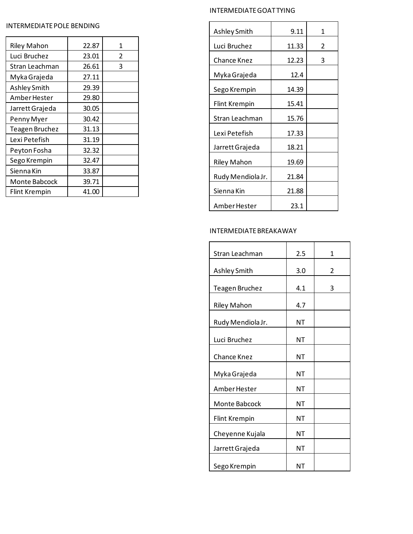#### INTERMEDIATE GOAT TYING

#### INTERMEDIATE POLE BENDING

| <b>Riley Mahon</b> | 22.87 | 1 |
|--------------------|-------|---|
| Luci Bruchez       | 23.01 | 2 |
| Stran Leachman     | 26.61 | 3 |
| Myka Grajeda       | 27.11 |   |
| Ashley Smith       | 29.39 |   |
| Amber Hester       | 29.80 |   |
| Jarrett Grajeda    | 30.05 |   |
| Penny Myer         | 30.42 |   |
| Teagen Bruchez     | 31.13 |   |
| Lexi Petefish      | 31.19 |   |
| Peyton Fosha       | 32.32 |   |
| Sego Krempin       | 32.47 |   |
| Sienna Kin         | 33.87 |   |
| Monte Babcock      | 39.71 |   |
| Flint Krempin      | 41.00 |   |

| Ashley Smith         | 9.11  | 1 |
|----------------------|-------|---|
| Luci Bruchez         | 11.33 | 2 |
| Chance Knez          | 12.23 | 3 |
| Myka Grajeda         | 12.4  |   |
|                      |       |   |
| Sego Krempin         | 14.39 |   |
| <b>Flint Krempin</b> | 15.41 |   |
| Stran Leachman       | 15.76 |   |
| Lexi Petefish        | 17.33 |   |
| Jarrett Grajeda      | 18.21 |   |
| <b>Riley Mahon</b>   | 19.69 |   |
| Rudy Mendiola Jr.    | 21.84 |   |
| Sienna Kin           | 21.88 |   |
| Amber Hester         | 23.1  |   |

### INTERMEDIATE BREAKAWAY

| Stran Leachman        | 2.5 | 1 |
|-----------------------|-----|---|
| Ashley Smith          | 3.0 | 2 |
| <b>Teagen Bruchez</b> | 4.1 | 3 |
| <b>Riley Mahon</b>    | 4.7 |   |
| Rudy Mendiola Jr.     | ΝT  |   |
| Luci Bruchez          | ΝT  |   |
| <b>Chance Knez</b>    | ΝT  |   |
| Myka Grajeda          | ΝT  |   |
| Amber Hester          | ΝT  |   |
| Monte Babcock         | ΝT  |   |
| <b>Flint Krempin</b>  | ΝT  |   |
| Cheyenne Kujala       | ΝT  |   |
| Jarrett Grajeda       | ΝT  |   |
| Sego Krempin          | ΝT  |   |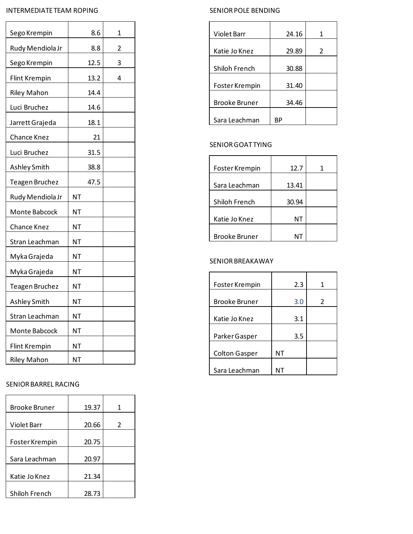### INTERMEDIATE TEAM ROPING

| Sego Krempin         | 8.6  | 1              |
|----------------------|------|----------------|
| Rudy Mendiola Jr     | 8.8  | $\overline{2}$ |
| Sego Krempin         | 12.5 | 3              |
| <b>Flint Krempin</b> | 13.2 | 4              |
| <b>Riley Mahon</b>   | 14.4 |                |
| Luci Bruchez         | 14.6 |                |
| Jarrett Grajeda      | 18.1 |                |
| <b>Chance Knez</b>   | 21   |                |
| Luci Bruchez         | 31.5 |                |
| Ashley Smith         | 38.8 |                |
| Teagen Bruchez       | 47.5 |                |
| Rudy Mendiola Jr     | ΝT   |                |
| Monte Babcock        | NΤ   |                |
| Chance Knez          | ΝT   |                |
| Stran Leachman       | ΝT   |                |
| Myka Grajeda         | ΝT   |                |
| Myka Grajeda         | ΝT   |                |
| Teagen Bruchez       | ΝT   |                |
| Ashley Smith         | ΝT   |                |
| Stran Leachman       | NΤ   |                |
| Monte Babcock        | ΝT   |                |
| <b>Flint Krempin</b> | ΝT   |                |
| <b>Riley Mahon</b>   | ΝT   |                |

### SENIOR BARREL RACING

| Brooke Bruner  | 19.37 | 1 |
|----------------|-------|---|
|                |       |   |
| Violet Barr    | 20.66 | 2 |
| Foster Krempin | 20.75 |   |
| Sara Leachman  | 20.97 |   |
| Katie Jo Knez  | 21.34 |   |
| Shiloh French  | 28.73 |   |

## SENIOR POLE BENDING

| Violet Barr          | 24.16 | 1 |
|----------------------|-------|---|
| Katie Jo Knez        | 29.89 | 2 |
| Shiloh French        | 30.88 |   |
| Foster Krempin       | 31.40 |   |
| <b>Brooke Bruner</b> | 34.46 |   |
| Sara Leachman        | RР    |   |

## SENIOR GOAT TYING

| Foster Krempin       | 12.7  | 1 |
|----------------------|-------|---|
| Sara Leachman        | 13.41 |   |
| Shiloh French        | 30.94 |   |
| Katie Jo Knez        | NΤ    |   |
| <b>Brooke Bruner</b> |       |   |

## SENIOR BREAKAWAY

| Foster Krempin       | 2.3 | 1 |
|----------------------|-----|---|
| <b>Brooke Bruner</b> | 3.0 | 2 |
| Katie Jo Knez        | 3.1 |   |
| Parker Gasper        | 3.5 |   |
| <b>Colton Gasper</b> | ΝT  |   |
| Sara Leachman        |     |   |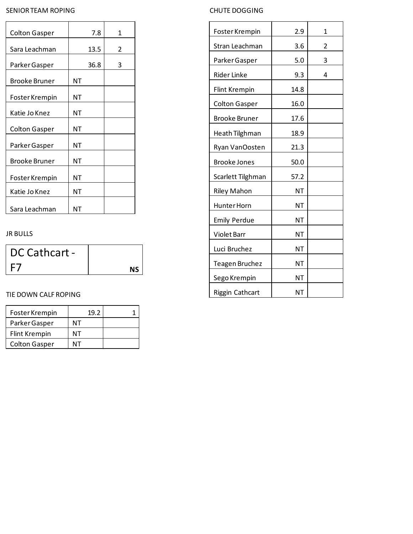# SENIOR TEAM ROPING

| <b>Colton Gasper</b> | 7.8  | 1 |
|----------------------|------|---|
| Sara Leachman        | 13.5 | 2 |
| Parker Gasper        | 36.8 | 3 |
| Brooke Bruner        | ΝT   |   |
| Foster Krempin       | ΝT   |   |
| Katie Jo Knez        | ΝT   |   |
| Colton Gasper        | ΝT   |   |
| Parker Gasper        | ΝT   |   |
| <b>Brooke Bruner</b> | ΝT   |   |
| Foster Krempin       | NΤ   |   |
| Katie Jo Knez        | ΝT   |   |
| Sara Leachman        | NΤ   |   |

## JR BULLS

| DC Cathcart - |    |
|---------------|----|
|               | ΝS |

## TIE DOWN CALF ROPING

| Foster Krempin       | 19.2 |  |
|----------------------|------|--|
| Parker Gasper        | ΝТ   |  |
| Flint Krempin        | ΝТ   |  |
| <b>Colton Gasper</b> |      |  |

# CHUTE DOGGING

| Foster Krempin        | 2.9       | 1              |
|-----------------------|-----------|----------------|
| Stran Leachman        | 3.6       | $\overline{2}$ |
| Parker Gasper         | 5.0       | 3              |
| <b>Rider Linke</b>    | 9.3       | 4              |
| <b>Flint Krempin</b>  | 14.8      |                |
| <b>Colton Gasper</b>  | 16.0      |                |
| <b>Brooke Bruner</b>  | 17.6      |                |
| Heath Tilghman        | 18.9      |                |
| Ryan VanOosten        | 21.3      |                |
| <b>Brooke Jones</b>   | 50.0      |                |
| Scarlett Tilghman     | 57.2      |                |
| <b>Riley Mahon</b>    | ΝT        |                |
| Hunter Horn           | <b>NT</b> |                |
| <b>Emily Perdue</b>   | NT        |                |
| Violet Barr           | NT        |                |
| Luci Bruchez          | NΤ        |                |
| <b>Teagen Bruchez</b> | NT        |                |
| Sego Krempin          | NT        |                |
| Riggin Cathcart       | NT        |                |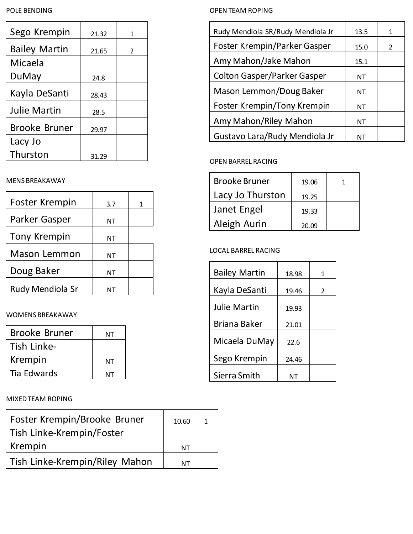#### POLE BENDING

| Sego Krempin         | 21.32 | 1             |
|----------------------|-------|---------------|
| <b>Bailey Martin</b> | 21.65 | $\mathcal{L}$ |
| Micaela              |       |               |
| DuMay                | 24.8  |               |
| Kayla DeSanti        | 28.43 |               |
| Julie Martin         | 28.5  |               |
| <b>Brooke Bruner</b> | 29.97 |               |
| Lacy Jo              |       |               |
| Thurston             | 31.29 |               |

## MENS BREAKAWAY

| <b>Foster Krempin</b> | 3.7 |  |
|-----------------------|-----|--|
| Parker Gasper         | ΝT  |  |
| <b>Tony Krempin</b>   | ΝT  |  |
| <b>Mason Lemmon</b>   | ΝT  |  |
| Doug Baker            | ΝT  |  |
| Rudy Mendiola Sr      |     |  |

# WOMENS BREAKAWAY

| <b>Brooke Bruner</b> | NΤ |
|----------------------|----|
| Tish Linke-          |    |
| Krempin              | NΤ |
| Tia Edwards          | NT |

# MIXED TEAM ROPING

| Foster Krempin/Brooke Bruner   | 10.60     |  |
|--------------------------------|-----------|--|
| Tish Linke-Krempin/Foster      |           |  |
| Krempin                        | <b>NT</b> |  |
| Tish Linke-Krempin/Riley Mahon | NΤ        |  |

## OPEN TEAM ROPING

| Rudy Mendiola SR/Rudy Mendiola Jr  | 13.5 | 1              |
|------------------------------------|------|----------------|
| Foster Krempin/Parker Gasper       | 15.0 | $\mathfrak{D}$ |
| Amy Mahon/Jake Mahon               | 15.1 |                |
| <b>Colton Gasper/Parker Gasper</b> | ΝT   |                |
| Mason Lemmon/Doug Baker            | ΝT   |                |
| Foster Krempin/Tony Krempin        | ΝT   |                |
| Amy Mahon/Riley Mahon              | ΝT   |                |
| Gustavo Lara/Rudy Mendiola Jr      | NΤ   |                |

# OPEN BARREL RACING

| <b>Brooke Bruner</b> | 19.06 |  |
|----------------------|-------|--|
| Lacy Jo Thurston     | 19.25 |  |
| Janet Engel          | 19.33 |  |
| Aleigh Aurin         | 20.09 |  |

# LOCAL BARREL RACING

| <b>Bailey Martin</b> | 18.98 | 1                        |
|----------------------|-------|--------------------------|
| Kayla DeSanti        | 19.46 | $\overline{\mathcal{L}}$ |
| <b>Julie Martin</b>  | 19.93 |                          |
| <b>Briana Baker</b>  | 21.01 |                          |
| Micaela DuMay        | 22.6  |                          |
| Sego Krempin         | 24.46 |                          |
| Sierra Smith         |       |                          |